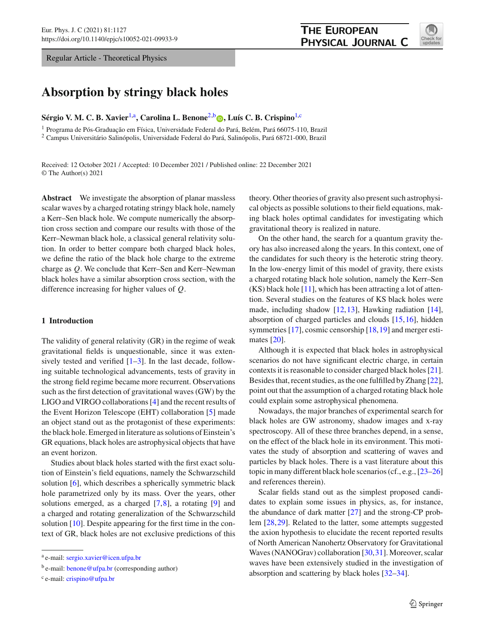Regular Article - Theoretical Physics

# **Absorption by stringy black holes**

**Sérgio V. M. C. B. Xavier**[1,](#page-0-0)a**, Carolina L. Benone**[2,](#page-0-0)b **[,](http://orcid.org/0000-0002-3675-9452) Luís C. B. Crispino**[1,](#page-0-0)c

<sup>1</sup> Programa de Pós-Graduação em Física, Universidade Federal do Pará, Belém, Pará 66075-110, Brazil <sup>2</sup> Campus Universitário Salinópolis, Universidade Federal do Pará, Salinópolis, Pará 68721-000, Brazil

Received: 12 October 2021 / Accepted: 10 December 2021 / Published online: 22 December 2021 © The Author(s) 2021

**Abstract** We investigate the absorption of planar massless scalar waves by a charged rotating stringy black hole, namely a Kerr–Sen black hole. We compute numerically the absorption cross section and compare our results with those of the Kerr–Newman black hole, a classical general relativity solution. In order to better compare both charged black holes, we define the ratio of the black hole charge to the extreme charge as *Q*. We conclude that Kerr–Sen and Kerr–Newman black holes have a similar absorption cross section, with the difference increasing for higher values of *Q*.

## **1 Introduction**

The validity of general relativity (GR) in the regime of weak gravitational fields is unquestionable, since it was extensively tested and verified  $[1-3]$  $[1-3]$ . In the last decade, following suitable technological advancements, tests of gravity in the strong field regime became more recurrent. Observations such as the first detection of gravitational waves (GW) by the LIGO and VIRGO collaborations [\[4](#page-7-2)] and the recent results of the Event Horizon Telescope (EHT) collaboration [\[5\]](#page-7-3) made an object stand out as the protagonist of these experiments: the black hole. Emerged in literature as solutions of Einstein's GR equations, black holes are astrophysical objects that have an event horizon.

Studies about black holes started with the first exact solution of Einstein's field equations, namely the Schwarzschild solution [\[6](#page-7-4)], which describes a spherically symmetric black hole parametrized only by its mass. Over the years, other solutions emerged, as a charged [\[7](#page-7-5)[,8](#page-7-6)], a rotating [\[9](#page-7-7)] and a charged and rotating generalization of the Schwarzschild solution [\[10\]](#page-7-8). Despite appearing for the first time in the context of GR, black holes are not exclusive predictions of this

<span id="page-0-0"></span>theory. Other theories of gravity also present such astrophysical objects as possible solutions to their field equations, making black holes optimal candidates for investigating which gravitational theory is realized in nature.

On the other hand, the search for a quantum gravity theory has also increased along the years. In this context, one of the candidates for such theory is the heterotic string theory. In the low-energy limit of this model of gravity, there exists a charged rotating black hole solution, namely the Kerr–Sen  $(KS)$  black hole [\[11](#page-7-9)], which has been attracting a lot of attention. Several studies on the features of KS black holes were made, including shadow [\[12](#page-7-10)[,13](#page-7-11)], Hawking radiation [\[14](#page-7-12)], absorption of charged particles and clouds [\[15](#page-7-13)[,16](#page-7-14)], hidden symmetries [\[17](#page-7-15)], cosmic censorship [\[18,](#page-7-16)[19\]](#page-7-17) and merger estimates [\[20](#page-7-18)].

Although it is expected that black holes in astrophysical scenarios do not have significant electric charge, in certain contexts it is reasonable to consider charged black holes [\[21](#page-7-19)]. Besides that, recent studies, as the one fulfilled by Zhang [\[22](#page-7-20)], point out that the assumption of a charged rotating black hole could explain some astrophysical phenomena.

Nowadays, the major branches of experimental search for black holes are GW astronomy, shadow images and x-ray spectroscopy. All of these three branches depend, in a sense, on the effect of the black hole in its environment. This motivates the study of absorption and scattering of waves and particles by black holes. There is a vast literature about this topic in many different black hole scenarios (cf., e.g., [\[23](#page-7-21)[–26\]](#page-7-22) and references therein).

Scalar fields stand out as the simplest proposed candidates to explain some issues in physics, as, for instance, the abundance of dark matter [\[27](#page-7-23)] and the strong-CP problem [\[28](#page-7-24),[29\]](#page-7-25). Related to the latter, some attempts suggested the axion hypothesis to elucidate the recent reported results of North American Nanohertz Observatory for Gravitational Waves (NANOGrav) collaboration [\[30,](#page-7-26)[31\]](#page-8-0). Moreover, scalar waves have been extensively studied in the investigation of absorption and scattering by black holes [\[32](#page-8-1)[–34](#page-8-2)].



<sup>a</sup> e-mail: [sergio.xavier@icen.ufpa.br](mailto:sergio.xavier@icen.ufpa.br)

b e-mail: [benone@ufpa.br](mailto:benone@ufpa.br) (corresponding author)

<sup>c</sup> e-mail: [crispino@ufpa.br](mailto:crispino@ufpa.br)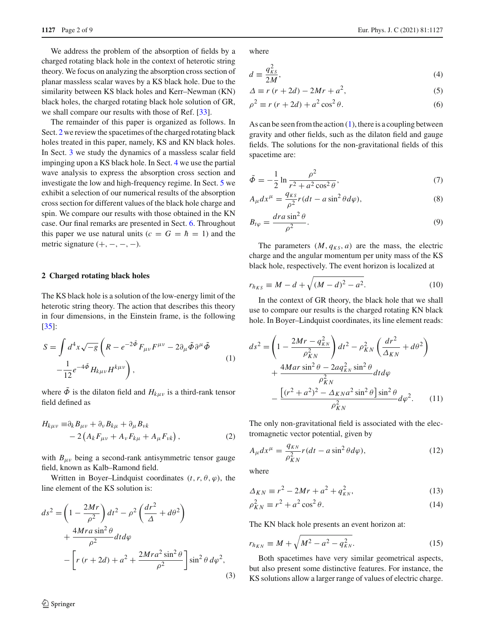We address the problem of the absorption of fields by a charged rotating black hole in the context of heterotic string theory. We focus on analyzing the absorption cross section of planar massless scalar waves by a KS black hole. Due to the similarity between KS black holes and Kerr–Newman (KN) black holes, the charged rotating black hole solution of GR, we shall compare our results with those of Ref. [\[33\]](#page-8-3).

The remainder of this paper is organized as follows. In Sect. [2](#page-1-0) we review the spacetimes of the charged rotating black holes treated in this paper, namely, KS and KN black holes. In Sect. [3](#page-2-0) we study the dynamics of a massless scalar field impinging upon a KS black hole. In Sect. [4](#page-3-0) we use the partial wave analysis to express the absorption cross section and investigate the low and high-frequency regime. In Sect. [5](#page-4-0) we exhibit a selection of our numerical results of the absorption cross section for different values of the black hole charge and spin. We compare our results with those obtained in the KN case. Our final remarks are presented in Sect. [6.](#page-6-0) Throughout this paper we use natural units  $(c = G = \hbar = 1)$  and the metric signature  $(+, -, -, -)$ .

#### <span id="page-1-0"></span>**2 Charged rotating black holes**

The KS black hole is a solution of the low-energy limit of the heterotic string theory. The action that describes this theory in four dimensions, in the Einstein frame, is the following [\[35](#page-8-4)]:

<span id="page-1-1"></span>
$$
S = \int d^4x \sqrt{-g} \left( R - e^{-2\tilde{\Phi}} F_{\mu\nu} F^{\mu\nu} - 2\partial_\mu \tilde{\Phi} \partial^\mu \tilde{\Phi} \right)
$$

$$
- \frac{1}{12} e^{-4\tilde{\Phi}} H_{k\mu\nu} H^{k\mu\nu} \right), \qquad (1)
$$

where  $\ddot{\Phi}$  is the dilaton field and  $H_{k\mu\nu}$  is a third-rank tensor field defined as

$$
H_{k\mu\nu} \equiv \partial_k B_{\mu\nu} + \partial_\nu B_{k\mu} + \partial_\mu B_{\nu k} - 2 \left( A_k F_{\mu\nu} + A_\nu F_{k\mu} + A_\mu F_{\nu k} \right),
$$
 (2)

with  $B_{\mu\nu}$  being a second-rank antisymmetric tensor gauge field, known as Kalb–Ramond field.

Written in Boyer–Lindquist coordinates  $(t, r, \theta, \varphi)$ , the line element of the KS solution is:

$$
ds^{2} = \left(1 - \frac{2Mr}{\rho^{2}}\right)dt^{2} - \rho^{2}\left(\frac{dr^{2}}{\Delta} + d\theta^{2}\right)
$$
  
+ 
$$
\frac{4Mra\sin^{2}\theta}{\rho^{2}}dtd\varphi
$$

$$
-\left[r\left(r + 2d\right) + a^{2} + \frac{2Mra^{2}\sin^{2}\theta}{\rho^{2}}\right]\sin^{2}\theta \,d\varphi^{2}, \tag{3}
$$

**1127** Page 2 of 9 Eur. Phys. J. C (2021) 81:1127

where

$$
d \equiv \frac{q_{KS}^2}{2M},\tag{4}
$$

$$
\Delta \equiv r(r + 2d) - 2Mr + a^2,\tag{5}
$$

$$
\rho^2 \equiv r \left( r + 2d \right) + a^2 \cos^2 \theta. \tag{6}
$$

As can be seen from the action  $(1)$ , there is a coupling between gravity and other fields, such as the dilaton field and gauge fields. The solutions for the non-gravitational fields of this spacetime are:

$$
\tilde{\Phi} = -\frac{1}{2} \ln \frac{\rho^2}{r^2 + a^2 \cos^2 \theta},\tag{7}
$$

$$
A_{\mu}dx^{\mu} = \frac{q_{KS}}{\rho^2}r(dt - a\sin^2\theta d\varphi),
$$
\n(8)

$$
B_{t\varphi} = \frac{dra\sin^2\theta}{\rho^2}.
$$
\n(9)

The parameters  $(M, q_{KS}, a)$  are the mass, the electric charge and the angular momentum per unity mass of the KS black hole, respectively. The event horizon is localized at

$$
r_{h_{KS}} \equiv M - d + \sqrt{(M - d)^2 - a^2}.
$$
 (10)

In the context of GR theory, the black hole that we shall use to compare our results is the charged rotating KN black hole. In Boyer–Lindquist coordinates, its line element reads:

$$
ds^{2} = \left(1 - \frac{2Mr - q_{KN}^{2}}{\rho_{KN}^{2}}\right)dt^{2} - \rho_{KN}^{2}\left(\frac{dr^{2}}{\Delta_{KN}} + d\theta^{2}\right)
$$

$$
+ \frac{4Mar\sin^{2}\theta - 2aq_{KN}^{2}\sin^{2}\theta}{\rho_{KN}^{2}}dt d\varphi
$$

$$
- \frac{\left[(r^{2} + a^{2})^{2} - \Delta_{KN}a^{2}\sin^{2}\theta\right]\sin^{2}\theta}{\rho_{KN}^{2}}d\varphi^{2}.
$$
 (11)

The only non-gravitational field is associated with the electromagnetic vector potential, given by

$$
A_{\mu}dx^{\mu} = \frac{q_{\scriptscriptstyle KN}}{\rho_{\scriptscriptstyle KN}^2}r(dt - a\sin^2\theta d\varphi),\tag{12}
$$

where

$$
\Delta_{KN} \equiv r^2 - 2Mr + a^2 + q_{KN}^2,\tag{13}
$$

$$
\rho_{KN}^2 \equiv r^2 + a^2 \cos^2 \theta. \tag{14}
$$

The KN black hole presents an event horizon at:

$$
r_{h_{KN}} \equiv M + \sqrt{M^2 - a^2 - q_{KN}^2}.
$$
 (15)

Both spacetimes have very similar geometrical aspects, but also present some distinctive features. For instance, the KS solutions allow a larger range of values of electric charge.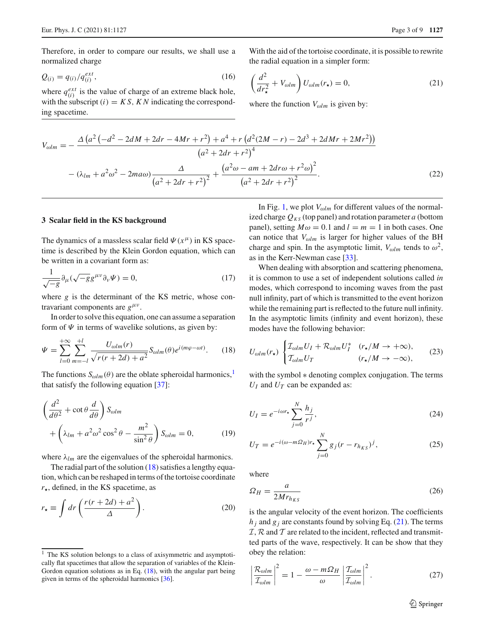Therefore, in order to compare our results, we shall use a normalized charge

$$
Q_{(i)} = q_{(i)}/q_{(i)}^{ext},
$$
\n(16)

where  $q_{(i)}^{ext}$  is the value of charge of an extreme black hole, with the subscript  $(i) = KS$ ,  $KN$  indicating the corresponding spacetime.

With the aid of the tortoise coordinate, it is possible to rewrite the radial equation in a simpler form:

<span id="page-2-3"></span>
$$
\left(\frac{d^2}{dr_{\star}^2} + V_{\omega lm}\right)U_{\omega lm}(r_{\star}) = 0, \tag{21}
$$

where the function  $V_{\omega lm}$  is given by:

$$
V_{\omega lm} = -\frac{\Delta (a^2 (-d^2 - 2dM + 2dr - 4Mr + r^2) + a^4 + r (d^2 (2M - r) - 2d^3 + 2dMr + 2Mr^2))}{(a^2 + 2dr + r^2)^4}
$$

$$
- (\lambda_{lm} + a^2 \omega^2 - 2ma\omega) \frac{\Delta}{(a^2 + 2dr + r^2)^2} + \frac{(a^2 \omega - am + 2dr\omega + r^2 \omega)^2}{(a^2 + 2dr + r^2)^2}.
$$
(22)

#### <span id="page-2-0"></span>**3 Scalar field in the KS background**

The dynamics of a massless scalar field  $\Psi(x^{\mu})$  in KS spacetime is described by the Klein Gordon equation, which can be written in a covariant form as:

$$
\frac{1}{\sqrt{-g}}\partial_{\mu}(\sqrt{-g}g^{\mu\nu}\partial_{\nu}\Psi) = 0, \qquad (17)
$$

where *g* is the determinant of the KS metric, whose contravariant components are  $g^{\mu\nu}$ .

In order to solve this equation, one can assume a separation form of  $\Psi$  in terms of wavelike solutions, as given by:

<span id="page-2-2"></span>
$$
\Psi = \sum_{l=0}^{+\infty} \sum_{m=-l}^{+l} \frac{U_{\omega lm}(r)}{\sqrt{r(r+2d)+a^2}} S_{\omega lm}(\theta) e^{i(m\varphi - \omega t)}. \tag{18}
$$

The functions  $S_{\omega lm}(\theta)$  are the oblate spheroidal harmonics,<sup>[1](#page-2-1)</sup> that satisfy the following equation [\[37\]](#page-8-5):

$$
\left(\frac{d^2}{d\theta^2} + \cot\theta \frac{d}{d\theta}\right) S_{\omega lm} \n+ \left(\lambda_{lm} + a^2 \omega^2 \cos^2\theta - \frac{m^2}{\sin^2\theta}\right) S_{\omega lm} = 0,
$$
\n(19)

where  $\lambda_{lm}$  are the eigenvalues of the spheroidal harmonics.

The radial part of the solution [\(18\)](#page-2-2) satisfies a lengthy equation, which can be reshaped in terms of the tortoise coordinate  $r_{\star}$ , defined, in the KS spacetime, as

$$
r_{\star} \equiv \int dr \left( \frac{r(r+2d) + a^2}{\Delta} \right). \tag{20}
$$

In Fig. [1,](#page-3-1) we plot  $V_{\omega l m}$  for different values of the normalized charge  $Q_{KS}$  (top panel) and rotation parameter *a* (bottom panel), setting  $M\omega = 0.1$  and  $l = m = 1$  in both cases. One can notice that  $V_{\omega l m}$  is larger for higher values of the BH charge and spin. In the asymptotic limit,  $V_{\omega lm}$  tends to  $\omega^2$ , as in the Kerr-Newman case [\[33](#page-8-3)].

When dealing with absorption and scattering phenomena, it is common to use a set of independent solutions called *in* modes, which correspond to incoming waves from the past null infinity, part of which is transmitted to the event horizon while the remaining part is reflected to the future null infinity. In the asymptotic limits (infinity and event horizon), these modes have the following behavior:

$$
U_{\omega lm}(r_{\star}) \begin{cases} \mathcal{I}_{\omega lm} U_I + \mathcal{R}_{\omega lm} U_I^* & (r_{\star}/M \to +\infty), \\ \mathcal{I}_{\omega lm} U_T & (r_{\star}/M \to -\infty), \end{cases} \tag{23}
$$

with the symbol ∗ denoting complex conjugation. The terms  $U_I$  and  $U_T$  can be expanded as:

$$
U_I = e^{-i\omega r_\star} \sum_{j=0}^{N} \frac{h_j}{r^j},\tag{24}
$$

$$
U_T = e^{-i(\omega - m\Omega_H)r_\star} \sum_{j=0}^{N} g_j (r - r_{h_{KS}})^j,
$$
 (25)

where

$$
\Omega_H = \frac{a}{2Mr_{h_{KS}}} \tag{26}
$$

is the angular velocity of the event horizon. The coefficients  $h_i$  and  $g_i$  are constants found by solving Eq. [\(21\)](#page-2-3). The terms *I*, *R* and *T* are related to the incident, reflected and transmitted parts of the wave, respectively. It can be show that they obey the relation:

$$
\left|\frac{\mathcal{R}_{\omega lm}}{\mathcal{I}_{\omega lm}}\right|^2 = 1 - \frac{\omega - m\Omega_H}{\omega} \left|\frac{\mathcal{I}_{\omega lm}}{\mathcal{I}_{\omega lm}}\right|^2.
$$
 (27)

<span id="page-2-1"></span><sup>&</sup>lt;sup>1</sup> The KS solution belongs to a class of axisymmetric and asymptotically flat spacetimes that allow the separation of variables of the Klein-Gordon equation solutions as in Eq.  $(18)$ , with the angular part being given in terms of the spheroidal harmonics [\[36\]](#page-8-6).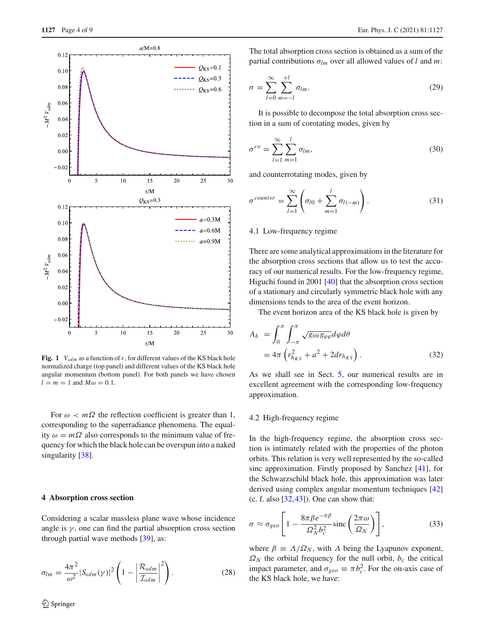

<span id="page-3-1"></span>**Fig. 1**  $V_{\text{olm}}$  as a function of r, for different values of the KS black hole normalized charge (top panel) and different values of the KS black hole angular momentum (bottom panel). For both panels we have chosen  $l = m = 1$  and  $M\omega = 0.1$ .

For  $\omega < m\Omega$  the reflection coefficient is greater than 1, corresponding to the superradiance phenomena. The equality  $\omega = m\Omega$  also corresponds to the minimum value of frequency for which the black hole can be overspun into a naked singularity [\[38](#page-8-7)].

## <span id="page-3-0"></span>**4 Absorption cross section**

Considering a scalar massless plane wave whose incidence angle is  $\gamma$ , one can find the partial absorption cross section through partial wave methods [\[39](#page-8-8)], as:

$$
\sigma_{lm} = \frac{4\pi^2}{\omega^2} |S_{\omega lm}(\gamma)|^2 \left(1 - \left|\frac{\mathcal{R}_{\omega lm}}{\mathcal{I}_{\omega lm}}\right|^2\right).
$$
 (28)

The total absorption cross section is obtained as a sum of the partial contributions σ*lm* over all allowed values of *l* and *m*:

$$
\sigma = \sum_{l=0}^{\infty} \sum_{m=-l}^{+l} \sigma_{lm}.
$$
\n(29)

It is possible to decompose the total absorption cross section in a sum of corotating modes, given by

$$
\sigma^{co} = \sum_{l=1}^{\infty} \sum_{m=1}^{l} \sigma_{lm},\tag{30}
$$

and counterrotating modes, given by

$$
\sigma^{counter} = \sum_{l=1}^{\infty} \left( \sigma_{l0} + \sum_{m=1}^{l} \sigma_{l(-m)} \right).
$$
 (31)

#### 4.1 Low-frequency regime

There are some analytical approximations in the literature for the absorption cross sections that allow us to test the accuracy of our numerical results. For the low-frequency regime, Higuchi found in 2001 [\[40\]](#page-8-9) that the absorption cross section of a stationary and circularly symmetric black hole with any dimensions tends to the area of the event horizon.

The event horizon area of the KS black hole is given by

$$
A_h = \int_0^{\pi} \int_{-\pi}^{\pi} \sqrt{g_{\theta\theta}g_{\varphi\varphi}} d\varphi d\theta
$$
  
=  $4\pi \left( r_{h_{KS}}^2 + a^2 + 2dr_{h_{KS}} \right).$  (32)

As we shall see in Sect. [5,](#page-4-0) our numerical results are in excellent agreement with the corresponding low-frequency approximation.

### 4.2 High-frequency regime

In the high-frequency regime, the absorption cross section is intimately related with the properties of the photon orbits. This relation is very well represented by the so-called sinc approximation. Firstly proposed by Sanchez [\[41](#page-8-10)], for the Schwarzschild black hole, this approximation was later derived using complex angular momentum techniques [\[42\]](#page-8-11) (c. f. also  $[32, 43]$  $[32, 43]$ ). One can show that:

$$
\sigma \approx \sigma_{geo} \left[ 1 - \frac{8\pi\beta e^{-\pi\beta}}{\Omega_N^2 b_c^2} \text{sinc}\left(\frac{2\pi\omega}{\Omega_N}\right) \right],\tag{33}
$$

where  $\beta \equiv \Lambda/\Omega_N$ , with  $\Lambda$  being the Lyapunov exponent,  $\Omega_N$  the orbital frequency for the null orbit,  $b_c$  the critical impact parameter, and  $\sigma_{geo} \equiv \pi b_c^2$ . For the on-axis case of the KS black hole, we have: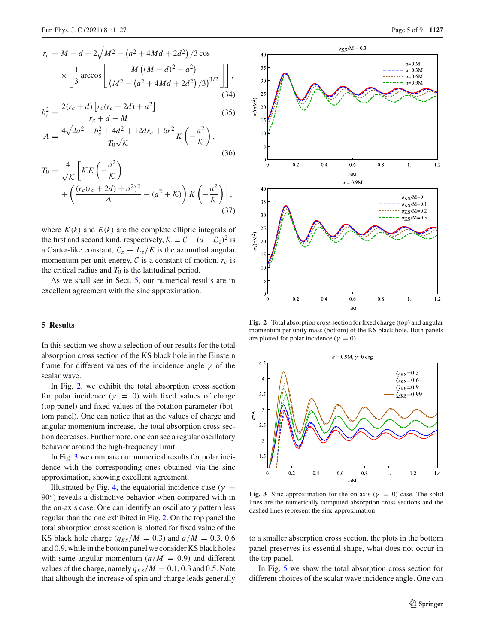$$
r_c = M - d + 2\sqrt{M^2 - (a^2 + 4Md + 2d^2)/3\cos}
$$

$$
\times \left[\frac{1}{3}\arccos\left[\frac{M((M-d)^2 - a^2)}{(M^2 - (a^2 + 4Md + 2d^2)/3)^{3/2}}\right]\right],
$$
(34)

$$
b_c^2 = \frac{2(r_c + d) \left[r_c(r_c + 2d) + a^2\right]}{r_c + d - M},
$$
\n
$$
A = \frac{4\sqrt{2a^2 - b_c^2 + 4d^2 + 12dr_c + 6r^2}}{T_c\sqrt{K}} K\left(-\frac{a^2}{K}\right),
$$
\n(35)

$$
T_0 \sqrt{\mathcal{K}}
$$
\n
$$
T_0 = \frac{4}{\sqrt{\mathcal{K}}} \left[ \mathcal{K} E \left( -\frac{a^2}{\mathcal{K}} \right) \right]
$$
\n(36)

$$
T_0 = \frac{1}{\sqrt{\mathcal{K}}} \left[ \frac{\mathcal{K}E\left(-\frac{a}{\mathcal{K}}\right)}{\mathcal{L}} + \left(\frac{(r_c(r_c + 2d) + a^2)^2}{\Delta} - (a^2 + \mathcal{K})\right) K\left(-\frac{a^2}{\mathcal{K}}\right) \right],
$$
\n(37)

where  $K(k)$  and  $E(k)$  are the complete elliptic integrals of the first and second kind, respectively,  $K \equiv C - (a - \mathcal{L}_z)^2$  is a Carter-like constant,  $\mathcal{L}_z \equiv L_z/E$  is the azimuthal angular momentum per unit energy,  $\mathcal C$  is a constant of motion,  $r_c$  is the critical radius and  $T_0$  is the latitudinal period.

As we shall see in Sect. [5,](#page-4-0) our numerical results are in excellent agreement with the sinc approximation.

## <span id="page-4-0"></span>**5 Results**

In this section we show a selection of our results for the total absorption cross section of the KS black hole in the Einstein frame for different values of the incidence angle  $\gamma$  of the scalar wave.

In Fig. [2,](#page-4-1) we exhibit the total absorption cross section for polar incidence ( $\gamma = 0$ ) with fixed values of charge (top panel) and fixed values of the rotation parameter (bottom panel). One can notice that as the values of charge and angular momentum increase, the total absorption cross section decreases. Furthermore, one can see a regular oscillatory behavior around the high-frequency limit.

In Fig. [3](#page-4-2) we compare our numerical results for polar incidence with the corresponding ones obtained via the sinc approximation, showing excellent agreement.

Illustrated by Fig. [4,](#page-5-0) the equatorial incidence case ( $\gamma$  = 90<sup>°</sup>) reveals a distinctive behavior when compared with in the on-axis case. One can identify an oscillatory pattern less regular than the one exhibited in Fig. [2.](#page-4-1) On the top panel the total absorption cross section is plotted for fixed value of the KS black hole charge  $(q_{KS}/M = 0.3)$  and  $a/M = 0.3, 0.6$ and 0.9, while in the bottom panel we consider KS black holes with same angular momentum  $(a/M = 0.9)$  and different values of the charge, namely  $q_{KS}/M = 0.1, 0.3$  and 0.5. Note that although the increase of spin and charge leads generally



<span id="page-4-1"></span>**Fig. 2** Total absorption cross section for fixed charge (top) and angular momentum per unity mass (bottom) of the KS black hole. Both panels are plotted for polar incidence ( $\gamma = 0$ )



<span id="page-4-2"></span>**Fig. 3** Sinc approximation for the on-axis ( $\gamma = 0$ ) case. The solid lines are the numerically computed absorption cross sections and the dashed lines represent the sinc approximation

to a smaller absorption cross section, the plots in the bottom panel preserves its essential shape, what does not occur in the top panel.

In Fig. [5](#page-5-1) we show the total absorption cross section for different choices of the scalar wave incidence angle. One can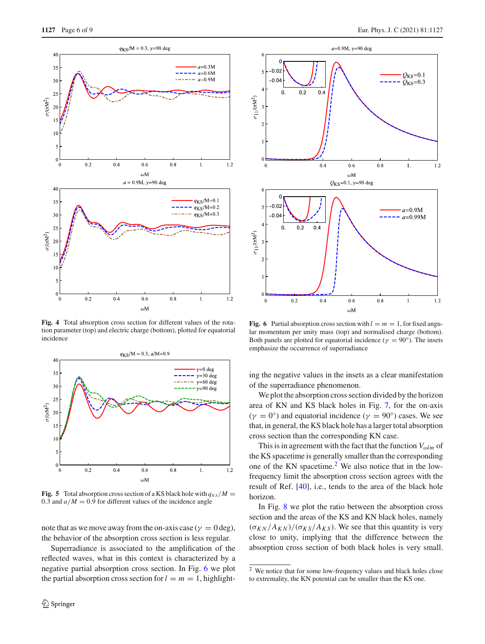

<span id="page-5-0"></span>**Fig. 4** Total absorption cross section for different values of the rotation parameter (top) and electric charge (bottom), plotted for equatorial incidence



<span id="page-5-1"></span>**Fig. 5** Total absorption cross section of a KS black hole with  $q_{KS}/M =$ 0.3 and  $a/M = 0.9$  for different values of the incidence angle

note that as we move away from the on-axis case ( $\gamma = 0$  deg), the behavior of the absorption cross section is less regular.

Superradiance is associated to the amplification of the reflected waves, what in this context is characterized by a negative partial absorption cross section. In Fig. [6](#page-5-2) we plot the partial absorption cross section for  $l = m = 1$ , highlight-



<span id="page-5-2"></span>**Fig. 6** Partial absorption cross section with  $l = m = 1$ , for fixed angular momentum per unity mass (top) and normalised charge (bottom). Both panels are plotted for equatorial incidence ( $\gamma = 90^\circ$ ). The insets emphasize the occurrence of superradiance

ing the negative values in the insets as a clear manifestation of the superradiance phenomenon.

We plot the absorption cross section divided by the horizon area of KN and KS black holes in Fig. [7,](#page-6-1) for the on-axis  $(\gamma = 0^{\circ})$  and equatorial incidence  $(\gamma = 90^{\circ})$  cases. We see that, in general, the KS black hole has a larger total absorption cross section than the corresponding KN case.

This is in agreement with the fact that the function *V*ω*lm* of the KS spacetime is generally smaller than the corresponding one of the KN spacetime. $^{2}$  $^{2}$  $^{2}$  We also notice that in the lowfrequency limit the absorption cross section agrees with the result of Ref. [\[40\]](#page-8-9), i.e., tends to the area of the black hole horizon.

In Fig. [8](#page-6-2) we plot the ratio between the absorption cross section and the areas of the KS and KN black holes, namely  $(\sigma_{KN}/A_{KN})/(\sigma_{KS}/A_{KS})$ . We see that this quantity is very close to unity, implying that the difference between the absorption cross section of both black holes is very small.

<span id="page-5-3"></span><sup>2</sup> We notice that for some low-frequency values and black holes close to extremality, the KN potential can be smaller than the KS one.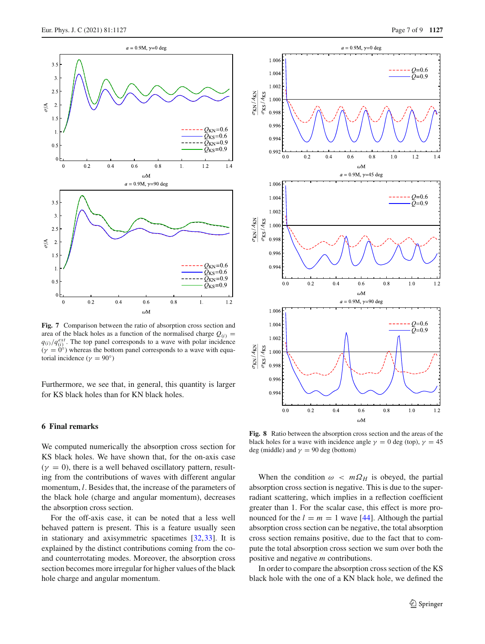

<span id="page-6-1"></span>**Fig. 7** Comparison between the ratio of absorption cross section and area of the black holes as a function of the normalised charge  $Q_{(i)} =$  $q(i)/q_{(i)}^{ext}$ . The top panel corresponds to a wave with polar incidence

 $(\gamma = 0^{\circ})$  whereas the bottom panel corresponds to a wave with equatorial incidence ( $\gamma = 90^\circ$ )

Furthermore, we see that, in general, this quantity is larger for KS black holes than for KN black holes.

## <span id="page-6-0"></span>**6 Final remarks**

We computed numerically the absorption cross section for KS black holes. We have shown that, for the on-axis case  $(\gamma = 0)$ , there is a well behaved oscillatory pattern, resulting from the contributions of waves with different angular momentum, *l*. Besides that, the increase of the parameters of the black hole (charge and angular momentum), decreases the absorption cross section.

For the off-axis case, it can be noted that a less well behaved pattern is present. This is a feature usually seen in stationary and axisymmetric spacetimes [\[32](#page-8-1)[,33\]](#page-8-3). It is explained by the distinct contributions coming from the coand counterrotating modes. Moreover, the absorption cross section becomes more irregular for higher values of the black hole charge and angular momentum.



<span id="page-6-2"></span>**Fig. 8** Ratio between the absorption cross section and the areas of the black holes for a wave with incidence angle  $\gamma = 0$  deg (top),  $\gamma = 45$ deg (middle) and  $\gamma = 90$  deg (bottom)

When the condition  $\omega < m\Omega_H$  is obeyed, the partial absorption cross section is negative. This is due to the superradiant scattering, which implies in a reflection coefficient greater than 1. For the scalar case, this effect is more pronounced for the  $l = m = 1$  wave [\[44](#page-8-13)]. Although the partial absorption cross section can be negative, the total absorption cross section remains positive, due to the fact that to compute the total absorption cross section we sum over both the positive and negative *m* contributions.

In order to compare the absorption cross section of the KS black hole with the one of a KN black hole, we defined the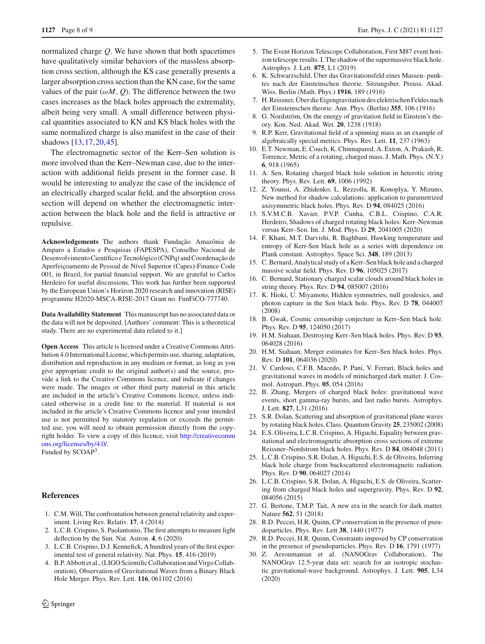normalized charge *Q*. We have shown that both spacetimes have qualitatively similar behaviors of the massless absorption cross section, although the KS case generally presents a larger absorption cross section than the KN case, for the same values of the pair  $(\omega M, Q)$ . The difference between the two cases increases as the black holes approach the extremality, albeit being very small. A small difference between physical quantities associated to KN and KS black holes with the same normalized charge is also manifest in the case of their shadows [\[13](#page-7-11)[,17](#page-7-15)[,20](#page-7-18),[45\]](#page-8-14).

The electromagnetic sector of the Kerr–Sen solution is more involved than the Kerr–Newman case, due to the interaction with additional fields present in the former case. It would be interesting to analyze the case of the incidence of an electrically charged scalar field, and the absorption cross section will depend on whether the electromagnetic interaction between the black hole and the field is attractive or repulsive.

**Acknowledgements** The authors thank Fundação Amazônia de Amparo a Estudos e Pesquisas (FAPESPA), Conselho Nacional de Desenvolvimento Científico e Tecnológico (CNPq) and Coordenação de Aperfeiçoamento de Pessoal de Nível Superior (Capes)-Finance Code 001, in Brazil, for partial financial support. We are grateful to Carlos Herdeiro for useful discussions. This work has further been supported by the European Union's Horizon 2020 research and innovation (RISE) programme H2020-MSCA-RISE-2017 Grant no. FunFiCO-777740.

**Data Availability Statement** This manuscript has no associated data or the data will not be deposited. [Authors' comment: This is a theoretical study. There are no experimental data related to it.]

**Open Access** This article is licensed under a Creative Commons Attribution 4.0 International License, which permits use, sharing, adaptation, distribution and reproduction in any medium or format, as long as you give appropriate credit to the original author(s) and the source, provide a link to the Creative Commons licence, and indicate if changes were made. The images or other third party material in this article are included in the article's Creative Commons licence, unless indicated otherwise in a credit line to the material. If material is not included in the article's Creative Commons licence and your intended use is not permitted by statutory regulation or exceeds the permitted use, you will need to obtain permission directly from the copyright holder. To view a copy of this licence, visit [http://creativecomm](http://creativecommons.org/licenses/by/4.0/) [ons.org/licenses/by/4.0/.](http://creativecommons.org/licenses/by/4.0/) Funded by SCOAP3.

## **References**

- <span id="page-7-0"></span>1. C.M. Will, The confrontation between general relativity and experiment. Living Rev. Relativ. **17**, 4 (2014)
- 2. L.C.B. Crispino, S. Paolantonio, The first attempts to measure light deflection by the Sun. Nat. Astron. **4**, 6 (2020)
- <span id="page-7-1"></span>3. L.C.B. Crispino, D.J. Kennefick, A hundred years of the first experimental test of general relativity. Nat. Phys. **15**, 416 (2019)
- <span id="page-7-2"></span>4. B.P. Abbott et al., (LIGO Scientific Collaboration and Virgo Collaboration), Observation of Gravitational Waves from a Binary Black Hole Merger. Phys. Rev. Lett. **116**, 061102 (2016)
- <span id="page-7-3"></span>5. The Event Horizon Telescope Collaboration, First M87 event horizon telescope results. I. The shadow of the supermassive black hole. Astrophys. J. Lett. **875**, L1 (2019)
- <span id="page-7-4"></span>6. K. Schwarzschild, Über das Gravitationsfeld eines Massen- punktes nach der Einsteinschen theorie. Sitzungsber. Preuss. Akad. Wiss. Berlin (Math. Phys.) **1916**, 189 (1916)
- <span id="page-7-5"></span>7. H. Reissner, Über die Eigengravitation des elektrischen Feldes nach der Einsteinschen theorie. Ann. Phys. (Berlin) **355**, 106 (1916)
- <span id="page-7-6"></span>8. G. Nordström, On the energy of gravitation field in Einstein's theory. Kon. Ned. Akad. Wet. **20**, 1238 (1918)
- <span id="page-7-7"></span>9. R.P. Kerr, Gravitational field of a spinning mass as an example of algebraically special metrics. Phys. Rev. Lett. **11**, 237 (1963)
- <span id="page-7-8"></span>10. E.T. Newman, E. Couch, K. Chinnapared, A. Exton, A. Prakash, R. Torrence, Metric of a rotating, charged mass. J. Math. Phys. (N.Y.) **6**, 918 (1965)
- <span id="page-7-9"></span>11. A. Sen, Rotating charged black hole solution in heterotic string theory. Phys. Rev. Lett. **69**, 1006 (1992)
- <span id="page-7-10"></span>12. Z. Younsi, A. Zhidenko, L. Rezzolla, R. Konoplya, Y. Mizuno, New method for shadow calculations: application to parametrized axisymmetric black holes. Phys. Rev. D **94**, 084025 (2016)
- <span id="page-7-11"></span>13. S.V.M.C.B. Xavier, P.V.P. Cunha, C.B.L. Crispino, C.A.R. Herdeiro, Shadows of charged rotating black holes: Kerr–Newman versus Kerr–Sen. Int. J. Mod. Phys. D **29**, 2041005 (2020)
- <span id="page-7-12"></span>14. F. Khani, M.T. Darvishi, R. Baghbani, Hawking temperature and entropy of Kerr-Sen black hole as a series with dependence on Plank constant. Astrophys. Space Sci. **348**, 189 (2013)
- <span id="page-7-13"></span>15. C. Bernard, Analytical study of a Kerr–Sen black hole and a charged massive scalar field. Phys. Rev. D **96**, 105025 (2017)
- <span id="page-7-14"></span>16. C. Bernard, Stationary charged scalar clouds around black holes in string theory. Phys. Rev. D **94**, 085007 (2016)
- <span id="page-7-15"></span>17. K. Hioki, U. Miyamoto, Hidden symmetries, null geodesics, and photon capture in the Sen black hole. Phys. Rev. D **78**, 044007 (2008)
- <span id="page-7-16"></span>18. B. Gwak, Cosmic censorship conjecture in Kerr–Sen black hole. Phys. Rev. D **95**, 124050 (2017)
- <span id="page-7-17"></span>19. H.M. Siahaan, Destroying Kerr–Sen black holes. Phys. Rev. D **93**, 064028 (2016)
- <span id="page-7-18"></span>20. H.M. Siahaan, Merger estimates for Kerr–Sen black holes. Phys. Rev. D **101**, 064036 (2020)
- <span id="page-7-19"></span>21. V. Cardoso, C.F.B. Macedo, P. Pani, V. Ferrari, Black holes and gravitational waves in models of minicharged dark matter. J. Cosmol. Astropart. Phys. **05**, 054 (2016)
- <span id="page-7-20"></span>22. B. Zhang, Mergers of charged black holes: gravitational wave events, short gamma-ray bursts, and fast radio bursts. Astrophys. J. Lett. **827**, L31 (2016)
- <span id="page-7-21"></span>23. S.R. Dolan, Scattering and absorption of gravitational plane waves by rotating black holes. Class. Quantum Gravity **25**, 235002 (2008)
- 24. E.S. Oliveira, L.C.B. Crispino, A. Higuchi, Equality between gravitational and electromagnetic absorption cross sections of extreme Reissner–Nordstrom black holes. Phys. Rev. D **84**, 084048 (2011)
- 25. L.C.B. Crispino, S.R. Dolan, A. Higuchi, E.S. de Oliveira, Inferring black hole charge from backscattered electromagnetic radiation. Phys. Rev. D **90**, 064027 (2014)
- <span id="page-7-22"></span>26. L.C.B. Crispino, S.R. Dolan, A. Higuchi, E.S. de Oliveira, Scattering from charged black holes and supergravity. Phys. Rev. D **92**, 084056 (2015)
- <span id="page-7-23"></span>27. G. Bertone, T.M.P. Tait, A new era in the search for dark matter. Nature **562**, 51 (2018)
- <span id="page-7-24"></span>28. R.D. Peccei, H.R. Quinn, CP conservation in the presence of pseudoparticles. Phys. Rev. Lett **38**, 1440 (1977)
- <span id="page-7-25"></span>29. R.D. Peccei, H.R. Quinn, Constraints imposed by CP conservation in the presence of pseudoparticles. Phys. Rev. D **16**, 1791 (1977)
- <span id="page-7-26"></span>30. Z. Arzoumanian et al. (NANOGrav Collaboration), The NANOGrav 12.5-year data set: search for an isotropic stochastic gravitational-wave background. Astrophys. J. Lett. **905**, L34 (2020)